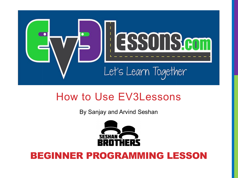

#### How to Use EV3Lessons

By Sanjay and Arvind Seshan



#### BEGINNER PROGRAMMING LESSON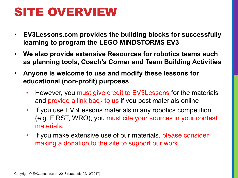### SITE OVERVIEW

- **EV3Lessons.com provides the building blocks for successfully learning to program the LEGO MINDSTORMS EV3**
- **We also provide extensive Resources for robotics teams such as planning tools, Coach's Corner and Team Building Activities**
- **Anyone is welcome to use and modify these lessons for educational (non-profit) purposes**
	- However, you must give credit to EV3Lessons for the materials and provide a link back to us if you post materials online
	- If you use EV3Lessons materials in any robotics competition (e.g. FIRST, WRO), you must cite your sources in your contest materials.
	- If you make extensive use of our materials, please consider making a donation to the site to support our work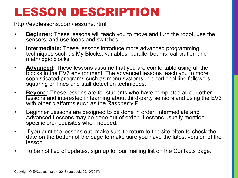## LESSON DESCRIPTION

http://ev3lessons.com/lessons.html

- **Beginner:** These lessons will teach you to move and turn the robot, use the sensors, and use loops and switches.
- **Intermediate:** These lessons introduce more advanced programming techniques such as My Blocks, variables, parallel beams, calibration and math/logic blocks.
- **Advanced:** These lessons assume that you are comfortable using all the blocks in the EV3 environment. The advanced lessons teach you to more sophisticated programs such as menu systems, proportional line followers, squaring on lines and stall detection techniques.
- **Beyond:** These lessons are for students who have completed all our other lessons and interested in learning about third-party sensors and using the EV3 with other platforms such as the Raspberry Pi.
- Beginner Lessons are designed to be done in order. Intermediate and Advanced Lessons may be done out of order. Lessons usually mention specific pre-requisites when needed.
- If you print the lessons out, make sure to return to the site often to check the date on the bottom of the page to make sure you have the latest version of the lesson.
- To be notified of updates, sign up for our mailing list on the Contacts page.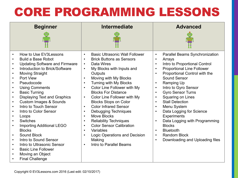# CORE PROGRAMMING LESSONS

| <b>Beginner</b>                                                                                                                                                                                                                                                                                                                                                                                                                                                                                                                                                                                                                                                                                                                                                                                                                                                                | <b>Intermediate</b>                                                                                                                                                                                                                                                                                                                                                                                                                                                                                                                                                                                                                                                                                                                                                | <b>Advanced</b>                                                                                                                                                                                                                                                                                                                                                                                                                                                                                                                                                                                                                                                                      |
|--------------------------------------------------------------------------------------------------------------------------------------------------------------------------------------------------------------------------------------------------------------------------------------------------------------------------------------------------------------------------------------------------------------------------------------------------------------------------------------------------------------------------------------------------------------------------------------------------------------------------------------------------------------------------------------------------------------------------------------------------------------------------------------------------------------------------------------------------------------------------------|--------------------------------------------------------------------------------------------------------------------------------------------------------------------------------------------------------------------------------------------------------------------------------------------------------------------------------------------------------------------------------------------------------------------------------------------------------------------------------------------------------------------------------------------------------------------------------------------------------------------------------------------------------------------------------------------------------------------------------------------------------------------|--------------------------------------------------------------------------------------------------------------------------------------------------------------------------------------------------------------------------------------------------------------------------------------------------------------------------------------------------------------------------------------------------------------------------------------------------------------------------------------------------------------------------------------------------------------------------------------------------------------------------------------------------------------------------------------|
| How to Use EV3Lessons<br>$\bullet$<br><b>Build a Base Robot</b><br>$\bullet$<br><b>Updating Software and Firmware</b><br>$\bullet$<br>Introduction to Brick/Software<br>$\bullet$<br><b>Moving Straight</b><br>$\bullet$<br>Port View<br>$\bullet$<br>Pseudocode<br>$\bullet$<br><b>Using Comments</b><br>$\bullet$<br><b>Basic Turning</b><br>$\bullet$<br><b>Displaying Text and Graphics</b><br>$\bullet$<br><b>Custom Images &amp; Sounds</b><br>$\bullet$<br>Intro to Touch Sensor<br>$\bullet$<br>Intro to Color Sensor<br>$\bullet$<br>Loops<br>$\bullet$<br>Switches<br>$\bullet$<br><b>Importing Additional LEGO</b><br>$\bullet$<br><b>Blocks</b><br>Sound Block<br>$\bullet$<br>Intro to Sound Sensor<br>$\bullet$<br>Intro to Ultrasonic Sensor<br>$\bullet$<br><b>Basic Line Follower</b><br>$\bullet$<br>Moving an Object<br>$\bullet$<br><b>Final Challenge</b> | <b>Basic Ultrasonic Wall Follower</b><br>$\bullet$<br><b>Brick Buttons as Sensors</b><br>$\bullet$<br>Data Wires<br>$\bullet$<br>My Blocks with Inputs and<br>$\bullet$<br>Outputs<br>Moving with My Blocks<br>$\bullet$<br>Turning with My Blocks<br>$\bullet$<br>Color Line Follower with My<br>$\bullet$<br><b>Blocks For Distance</b><br>Color Line Follower with My<br>$\bullet$<br><b>Blocks Stops on Color</b><br><b>Color Infrared Sensor</b><br>$\bullet$<br><b>Debugging Techniques</b><br>$\bullet$<br>Move Blocks<br>$\bullet$<br><b>Reliability Techniques</b><br>$\bullet$<br><b>Color Sensor Calibration</b><br>$\bullet$<br>Variables<br>$\bullet$<br>Logic Operations and Decision<br>$\bullet$<br>Making<br>Intro to Parallel Beams<br>$\bullet$ | Parallel Beams Synchronization<br>$\bullet$<br>Arrays<br>$\bullet$<br>Intro to Proportional Control<br>$\bullet$<br><b>Proportional Line Follower</b><br>Proportional Control with the<br>$\bullet$<br>Sound Sensor<br>Ramping Up<br>$\bullet$<br>Intro to Gyro Sensor<br>$\bullet$<br><b>Gyro Sensor Turns</b><br>$\bullet$<br>Squaring on Lines<br>$\bullet$<br><b>Stall Detection</b><br>$\bullet$<br>Menu System<br>$\bullet$<br>Data Logging for Science<br>$\bullet$<br><b>Experiments</b><br>Data Logging with Programming<br>$\bullet$<br><b>Blocks</b><br><b>Bluetooth</b><br>$\bullet$<br><b>Random Block</b><br>$\bullet$<br>Downloading and Uploading files<br>$\bullet$ |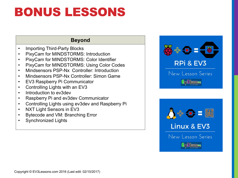### BONUS LESSONS

#### **Beyond**

- Importing Third-Party Blocks
- PixyCam for MINDSTORMS: Introduction
- PixyCam for MINDSTORMS: Color Identifier
- PixyCam for MINDSTORMS: Using Color Codes
- Mindsensors PSP-Nx Controller: Introduction
- Mindsensors PSP-Nx Controller: Simon Game
- EV3 Raspberry Pi Communicator
- Controlling Lights with an EV3
- Introduction to ev3dev
- Raspberry Pi and ev3dev Communicator
- Controlling Lights using ev3dev and Raspberry Pi
- NXT Light Sensors in EV3
- Bytecode and VM: Branching Error
- Synchronized Lights



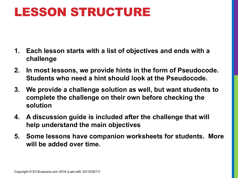### LESSON STRUCTURE

- **1. Each lesson starts with a list of objectives and ends with a challenge**
- **2. In most lessons, we provide hints in the form of Pseudocode. Students who need a hint should look at the Pseudocode.**
- **3. We provide a challenge solution as well, but want students to complete the challenge on their own before checking the solution**
- **4. A discussion guide is included after the challenge that will help understand the main objectives**
- **5. Some lessons have companion worksheets for students. More will be added over time.**